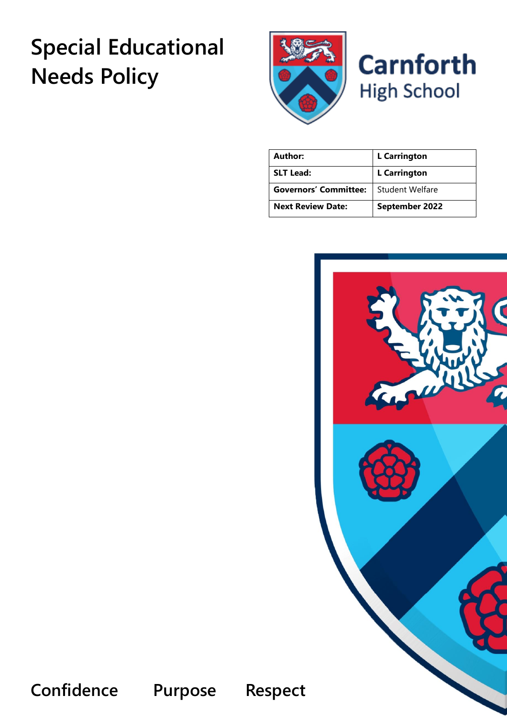# **Special Educational Needs Policy**



| Author:                      | <b>L</b> Carrington   |
|------------------------------|-----------------------|
| <b>SLT Lead:</b>             | <b>L</b> Carrington   |
| <b>Governors' Committee:</b> | Student Welfare       |
| <b>Next Review Date:</b>     | <b>September 2022</b> |



**Confidence Purpose Respect**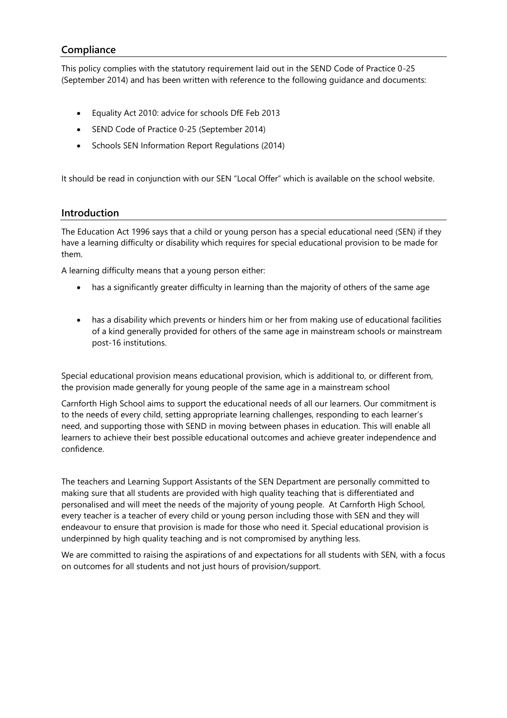# **Compliance**

This policy complies with the statutory requirement laid out in the SEND Code of Practice 0-25 (September 2014) and has been written with reference to the following guidance and documents:

- Equality Act 2010: advice for schools DfE Feb 2013
- SEND Code of Practice 0-25 (September 2014)
- Schools SEN Information Report Regulations (2014)

It should be read in conjunction with our SEN "Local Offer" which is available on the school website.

#### **Introduction**

The Education Act 1996 says that a child or young person has a special educational need (SEN) if they have a learning difficulty or disability which requires for special educational provision to be made for them.

A learning difficulty means that a young person either:

- has a significantly greater difficulty in learning than the majority of others of the same age
- has a disability which prevents or hinders him or her from making use of educational facilities of a kind generally provided for others of the same age in mainstream schools or mainstream post-16 institutions.

Special educational provision means educational provision, which is additional to, or different from, the provision made generally for young people of the same age in a mainstream school

Carnforth High School aims to support the educational needs of all our learners. Our commitment is to the needs of every child, setting appropriate learning challenges, responding to each learner's need, and supporting those with SEND in moving between phases in education. This will enable all learners to achieve their best possible educational outcomes and achieve greater independence and confidence.

The teachers and Learning Support Assistants of the SEN Department are personally committed to making sure that all students are provided with high quality teaching that is differentiated and personalised and will meet the needs of the majority of young people. At Carnforth High School, every teacher is a teacher of every child or young person including those with SEN and they will endeavour to ensure that provision is made for those who need it. Special educational provision is underpinned by high quality teaching and is not compromised by anything less.

We are committed to raising the aspirations of and expectations for all students with SEN, with a focus on outcomes for all students and not just hours of provision/support.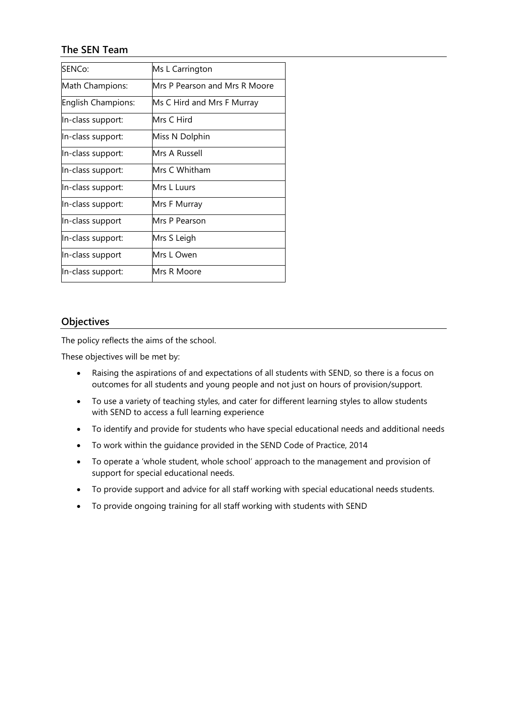# **The SEN Team**

| SENCo:             | Ms L Carrington               |
|--------------------|-------------------------------|
| Math Champions:    | Mrs P Pearson and Mrs R Moore |
| English Champions: | Ms C Hird and Mrs F Murray    |
| In-class support:  | Mrs C Hird                    |
| In-class support:  | Miss N Dolphin                |
| In-class support:  | Mrs A Russell                 |
| In-class support:  | Mrs C Whitham                 |
| In-class support:  | Mrs L Luurs                   |
| In-class support:  | Mrs F Murray                  |
| In-class support   | Mrs P Pearson                 |
| In-class support:  | Mrs S Leigh                   |
| In-class support   | Mrs L Owen                    |
| In-class support:  | Mrs R Moore                   |

#### **Objectives**

The policy reflects the aims of the school.

These objectives will be met by:

- Raising the aspirations of and expectations of all students with SEND, so there is a focus on outcomes for all students and young people and not just on hours of provision/support.
- To use a variety of teaching styles, and cater for different learning styles to allow students with SEND to access a full learning experience
- To identify and provide for students who have special educational needs and additional needs
- To work within the guidance provided in the SEND Code of Practice, 2014
- To operate a 'whole student, whole school' approach to the management and provision of support for special educational needs.
- To provide support and advice for all staff working with special educational needs students.
- To provide ongoing training for all staff working with students with SEND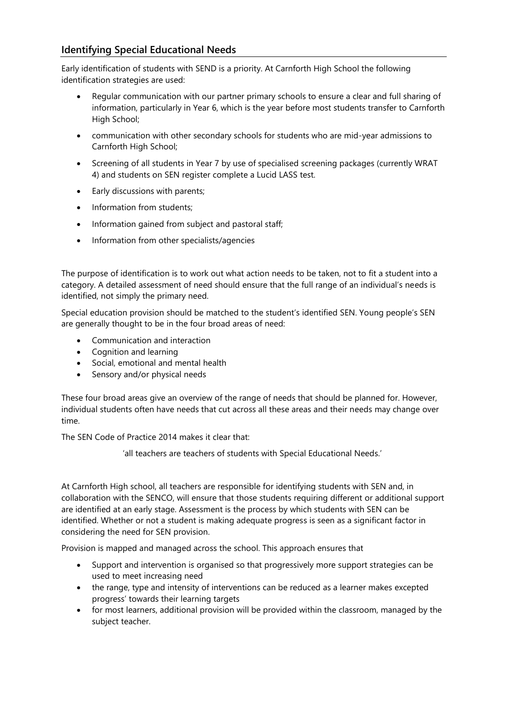# **Identifying Special Educational Needs**

Early identification of students with SEND is a priority. At Carnforth High School the following identification strategies are used:

- Regular communication with our partner primary schools to ensure a clear and full sharing of information, particularly in Year 6, which is the year before most students transfer to Carnforth High School;
- communication with other secondary schools for students who are mid-year admissions to Carnforth High School;
- Screening of all students in Year 7 by use of specialised screening packages (currently WRAT 4) and students on SEN register complete a Lucid LASS test.
- Early discussions with parents;
- Information from students;
- Information gained from subject and pastoral staff;
- Information from other specialists/agencies

The purpose of identification is to work out what action needs to be taken, not to fit a student into a category. A detailed assessment of need should ensure that the full range of an individual's needs is identified, not simply the primary need.

Special education provision should be matched to the student's identified SEN. Young people's SEN are generally thought to be in the four broad areas of need:

- Communication and interaction
- Cognition and learning
- Social, emotional and mental health
- Sensory and/or physical needs

These four broad areas give an overview of the range of needs that should be planned for. However, individual students often have needs that cut across all these areas and their needs may change over time.

The SEN Code of Practice 2014 makes it clear that:

'all teachers are teachers of students with Special Educational Needs.'

At Carnforth High school, all teachers are responsible for identifying students with SEN and, in collaboration with the SENCO, will ensure that those students requiring different or additional support are identified at an early stage. Assessment is the process by which students with SEN can be identified. Whether or not a student is making adequate progress is seen as a significant factor in considering the need for SEN provision.

Provision is mapped and managed across the school. This approach ensures that

- Support and intervention is organised so that progressively more support strategies can be used to meet increasing need
- the range, type and intensity of interventions can be reduced as a learner makes excepted progress' towards their learning targets
- for most learners, additional provision will be provided within the classroom, managed by the subject teacher.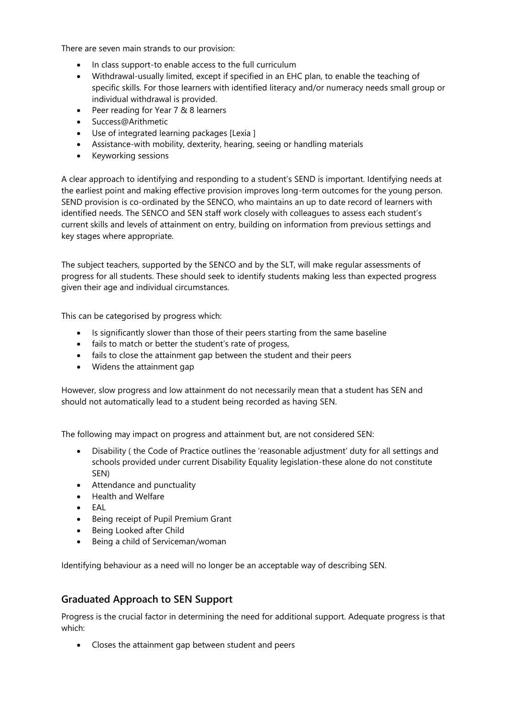There are seven main strands to our provision:

- In class support-to enable access to the full curriculum
- Withdrawal-usually limited, except if specified in an EHC plan, to enable the teaching of specific skills. For those learners with identified literacy and/or numeracy needs small group or individual withdrawal is provided.
- Peer reading for Year 7 & 8 learners
- Success@Arithmetic
- Use of integrated learning packages [Lexia ]
- Assistance-with mobility, dexterity, hearing, seeing or handling materials
- Keyworking sessions

A clear approach to identifying and responding to a student's SEND is important. Identifying needs at the earliest point and making effective provision improves long-term outcomes for the young person. SEND provision is co-ordinated by the SENCO, who maintains an up to date record of learners with identified needs. The SENCO and SEN staff work closely with colleagues to assess each student's current skills and levels of attainment on entry, building on information from previous settings and key stages where appropriate.

The subject teachers, supported by the SENCO and by the SLT, will make regular assessments of progress for all students. These should seek to identify students making less than expected progress given their age and individual circumstances.

This can be categorised by progress which:

- Is significantly slower than those of their peers starting from the same baseline
- fails to match or better the student's rate of progess,
- fails to close the attainment gap between the student and their peers
- Widens the attainment gap

However, slow progress and low attainment do not necessarily mean that a student has SEN and should not automatically lead to a student being recorded as having SEN.

The following may impact on progress and attainment but, are not considered SEN:

- Disability ( the Code of Practice outlines the 'reasonable adjustment' duty for all settings and schools provided under current Disability Equality legislation-these alone do not constitute SEN)
- Attendance and punctuality
- Health and Welfare
- EAL
- Being receipt of Pupil Premium Grant
- Being Looked after Child
- Being a child of Serviceman/woman

Identifying behaviour as a need will no longer be an acceptable way of describing SEN.

# **Graduated Approach to SEN Support**

Progress is the crucial factor in determining the need for additional support. Adequate progress is that which:

• Closes the attainment gap between student and peers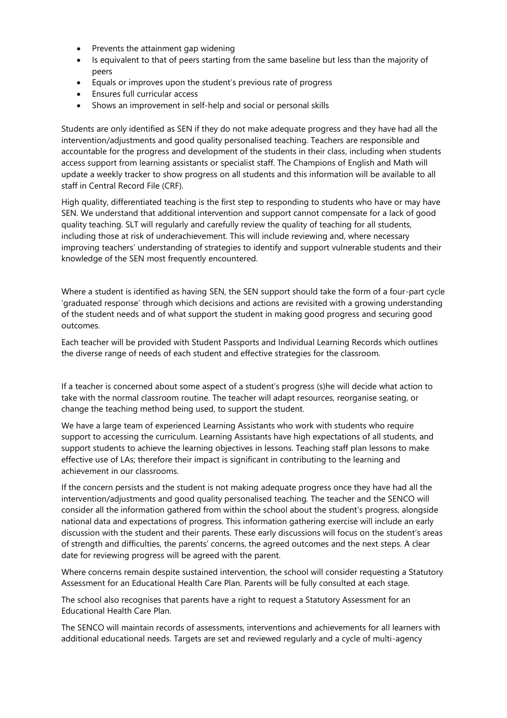- Prevents the attainment gap widening
- Is equivalent to that of peers starting from the same baseline but less than the majority of peers
- Equals or improves upon the student's previous rate of progress
- Ensures full curricular access
- Shows an improvement in self-help and social or personal skills

Students are only identified as SEN if they do not make adequate progress and they have had all the intervention/adjustments and good quality personalised teaching. Teachers are responsible and accountable for the progress and development of the students in their class, including when students access support from learning assistants or specialist staff. The Champions of English and Math will update a weekly tracker to show progress on all students and this information will be available to all staff in Central Record File (CRF).

High quality, differentiated teaching is the first step to responding to students who have or may have SEN. We understand that additional intervention and support cannot compensate for a lack of good quality teaching. SLT will regularly and carefully review the quality of teaching for all students, including those at risk of underachievement. This will include reviewing and, where necessary improving teachers' understanding of strategies to identify and support vulnerable students and their knowledge of the SEN most frequently encountered.

Where a student is identified as having SEN, the SEN support should take the form of a four-part cycle 'graduated response' through which decisions and actions are revisited with a growing understanding of the student needs and of what support the student in making good progress and securing good outcomes.

Each teacher will be provided with Student Passports and Individual Learning Records which outlines the diverse range of needs of each student and effective strategies for the classroom.

If a teacher is concerned about some aspect of a student's progress (s)he will decide what action to take with the normal classroom routine. The teacher will adapt resources, reorganise seating, or change the teaching method being used, to support the student.

We have a large team of experienced Learning Assistants who work with students who require support to accessing the curriculum. Learning Assistants have high expectations of all students, and support students to achieve the learning objectives in lessons. Teaching staff plan lessons to make effective use of LAs; therefore their impact is significant in contributing to the learning and achievement in our classrooms.

If the concern persists and the student is not making adequate progress once they have had all the intervention/adjustments and good quality personalised teaching. The teacher and the SENCO will consider all the information gathered from within the school about the student's progress, alongside national data and expectations of progress. This information gathering exercise will include an early discussion with the student and their parents. These early discussions will focus on the student's areas of strength and difficulties, the parents' concerns, the agreed outcomes and the next steps. A clear date for reviewing progress will be agreed with the parent.

Where concerns remain despite sustained intervention, the school will consider requesting a Statutory Assessment for an Educational Health Care Plan. Parents will be fully consulted at each stage.

The school also recognises that parents have a right to request a Statutory Assessment for an Educational Health Care Plan.

The SENCO will maintain records of assessments, interventions and achievements for all learners with additional educational needs. Targets are set and reviewed regularly and a cycle of multi-agency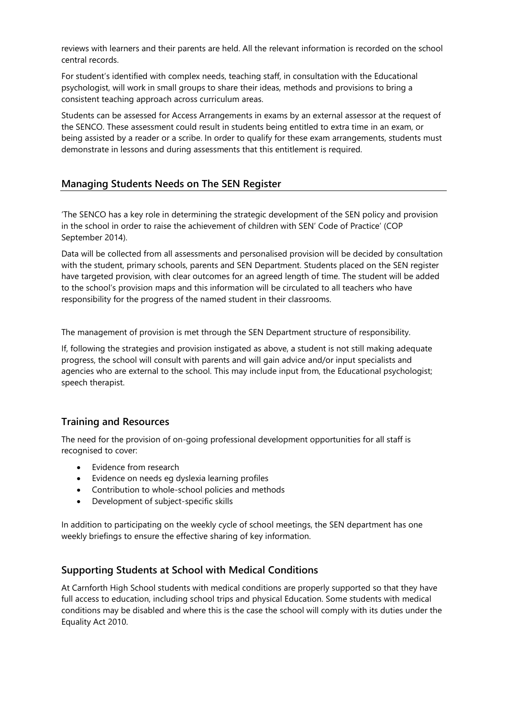reviews with learners and their parents are held. All the relevant information is recorded on the school central records.

For student's identified with complex needs, teaching staff, in consultation with the Educational psychologist, will work in small groups to share their ideas, methods and provisions to bring a consistent teaching approach across curriculum areas.

Students can be assessed for Access Arrangements in exams by an external assessor at the request of the SENCO. These assessment could result in students being entitled to extra time in an exam, or being assisted by a reader or a scribe. In order to qualify for these exam arrangements, students must demonstrate in lessons and during assessments that this entitlement is required.

# **Managing Students Needs on The SEN Register**

'The SENCO has a key role in determining the strategic development of the SEN policy and provision in the school in order to raise the achievement of children with SEN' Code of Practice' (COP September 2014).

Data will be collected from all assessments and personalised provision will be decided by consultation with the student, primary schools, parents and SEN Department. Students placed on the SEN register have targeted provision, with clear outcomes for an agreed length of time. The student will be added to the school's provision maps and this information will be circulated to all teachers who have responsibility for the progress of the named student in their classrooms.

The management of provision is met through the SEN Department structure of responsibility.

If, following the strategies and provision instigated as above, a student is not still making adequate progress, the school will consult with parents and will gain advice and/or input specialists and agencies who are external to the school. This may include input from, the Educational psychologist; speech therapist.

# **Training and Resources**

The need for the provision of on-going professional development opportunities for all staff is recognised to cover:

- Evidence from research
- Evidence on needs eg dyslexia learning profiles
- Contribution to whole-school policies and methods
- Development of subject-specific skills

In addition to participating on the weekly cycle of school meetings, the SEN department has one weekly briefings to ensure the effective sharing of key information.

# **Supporting Students at School with Medical Conditions**

At Carnforth High School students with medical conditions are properly supported so that they have full access to education, including school trips and physical Education. Some students with medical conditions may be disabled and where this is the case the school will comply with its duties under the Equality Act 2010.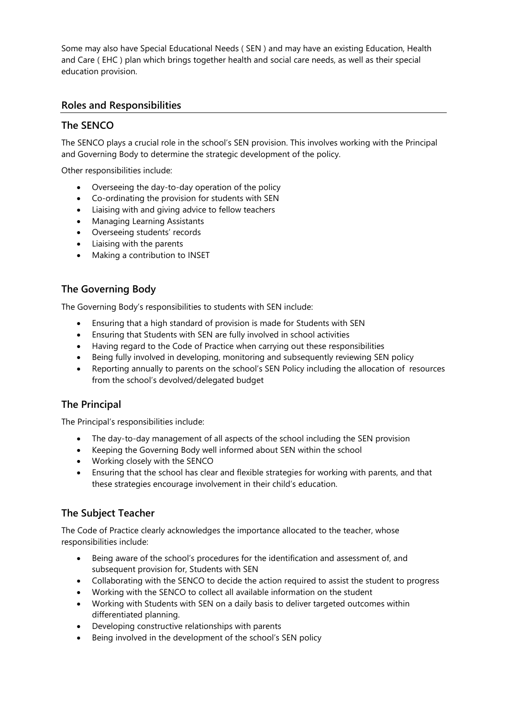Some may also have Special Educational Needs ( SEN ) and may have an existing Education, Health and Care ( EHC ) plan which brings together health and social care needs, as well as their special education provision.

# **Roles and Responsibilities**

# **The SENCO**

The SENCO plays a crucial role in the school's SEN provision. This involves working with the Principal and Governing Body to determine the strategic development of the policy.

Other responsibilities include:

- Overseeing the day-to-day operation of the policy
- Co-ordinating the provision for students with SEN
- Liaising with and giving advice to fellow teachers
- Managing Learning Assistants
- Overseeing students' records
- Liaising with the parents
- Making a contribution to INSET

# **The Governing Body**

The Governing Body's responsibilities to students with SEN include:

- Ensuring that a high standard of provision is made for Students with SEN
- Ensuring that Students with SEN are fully involved in school activities
- Having regard to the Code of Practice when carrying out these responsibilities
- Being fully involved in developing, monitoring and subsequently reviewing SEN policy
- Reporting annually to parents on the school's SEN Policy including the allocation of resources from the school's devolved/delegated budget

# **The Principal**

The Principal's responsibilities include:

- The day-to-day management of all aspects of the school including the SEN provision
- Keeping the Governing Body well informed about SEN within the school
- Working closely with the SENCO
- Ensuring that the school has clear and flexible strategies for working with parents, and that these strategies encourage involvement in their child's education.

# **The Subject Teacher**

The Code of Practice clearly acknowledges the importance allocated to the teacher, whose responsibilities include:

- Being aware of the school's procedures for the identification and assessment of, and subsequent provision for, Students with SEN
- Collaborating with the SENCO to decide the action required to assist the student to progress
- Working with the SENCO to collect all available information on the student
- Working with Students with SEN on a daily basis to deliver targeted outcomes within differentiated planning.
- Developing constructive relationships with parents
- Being involved in the development of the school's SEN policy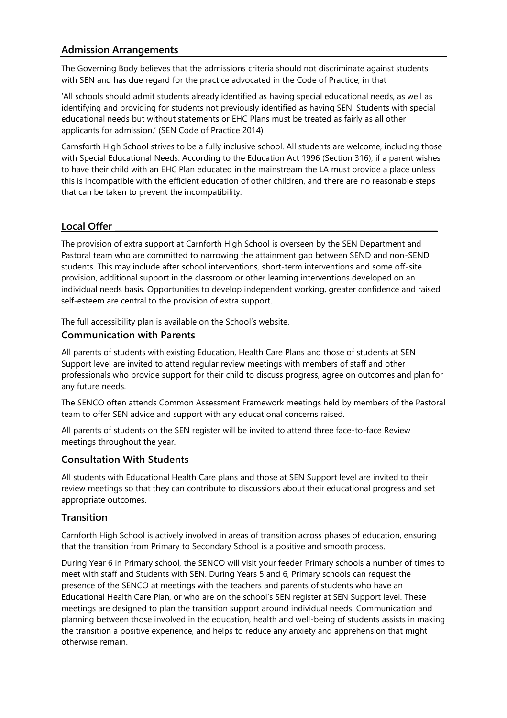# **Admission Arrangements**

The Governing Body believes that the admissions criteria should not discriminate against students with SEN and has due regard for the practice advocated in the Code of Practice, in that

'All schools should admit students already identified as having special educational needs, as well as identifying and providing for students not previously identified as having SEN. Students with special educational needs but without statements or EHC Plans must be treated as fairly as all other applicants for admission.' (SEN Code of Practice 2014)

Carnsforth High School strives to be a fully inclusive school. All students are welcome, including those with Special Educational Needs. According to the Education Act 1996 (Section 316), if a parent wishes to have their child with an EHC Plan educated in the mainstream the LA must provide a place unless this is incompatible with the efficient education of other children, and there are no reasonable steps that can be taken to prevent the incompatibility.

# Local Offer

The provision of extra support at Carnforth High School is overseen by the SEN Department and Pastoral team who are committed to narrowing the attainment gap between SEND and non-SEND students. This may include after school interventions, short-term interventions and some off-site provision, additional support in the classroom or other learning interventions developed on an individual needs basis. Opportunities to develop independent working, greater confidence and raised self-esteem are central to the provision of extra support.

The full accessibility plan is available on the School's website.

# **Communication with Parents**

All parents of students with existing Education, Health Care Plans and those of students at SEN Support level are invited to attend regular review meetings with members of staff and other professionals who provide support for their child to discuss progress, agree on outcomes and plan for any future needs.

The SENCO often attends Common Assessment Framework meetings held by members of the Pastoral team to offer SEN advice and support with any educational concerns raised.

All parents of students on the SEN register will be invited to attend three face-to-face Review meetings throughout the year.

# **Consultation With Students**

All students with Educational Health Care plans and those at SEN Support level are invited to their review meetings so that they can contribute to discussions about their educational progress and set appropriate outcomes.

#### **Transition**

Carnforth High School is actively involved in areas of transition across phases of education, ensuring that the transition from Primary to Secondary School is a positive and smooth process.

During Year 6 in Primary school, the SENCO will visit your feeder Primary schools a number of times to meet with staff and Students with SEN. During Years 5 and 6, Primary schools can request the presence of the SENCO at meetings with the teachers and parents of students who have an Educational Health Care Plan, or who are on the school's SEN register at SEN Support level. These meetings are designed to plan the transition support around individual needs. Communication and planning between those involved in the education, health and well-being of students assists in making the transition a positive experience, and helps to reduce any anxiety and apprehension that might otherwise remain.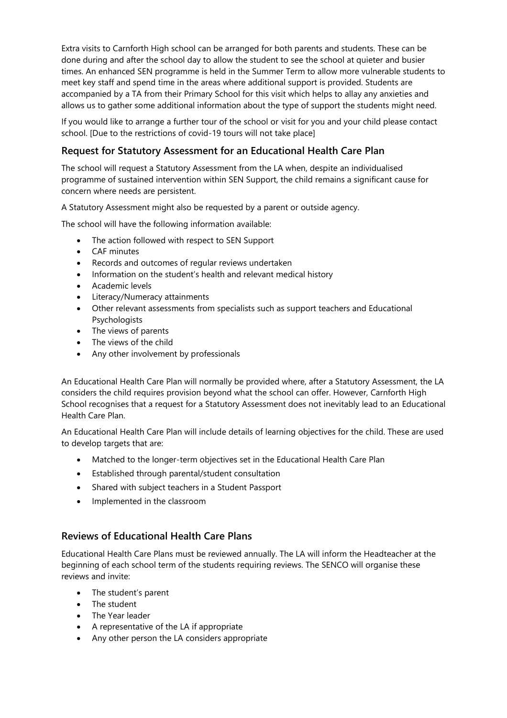Extra visits to Carnforth High school can be arranged for both parents and students. These can be done during and after the school day to allow the student to see the school at quieter and busier times. An enhanced SEN programme is held in the Summer Term to allow more vulnerable students to meet key staff and spend time in the areas where additional support is provided. Students are accompanied by a TA from their Primary School for this visit which helps to allay any anxieties and allows us to gather some additional information about the type of support the students might need.

If you would like to arrange a further tour of the school or visit for you and your child please contact school. [Due to the restrictions of covid-19 tours will not take place]

# **Request for Statutory Assessment for an Educational Health Care Plan**

The school will request a Statutory Assessment from the LA when, despite an individualised programme of sustained intervention within SEN Support, the child remains a significant cause for concern where needs are persistent.

A Statutory Assessment might also be requested by a parent or outside agency.

The school will have the following information available:

- The action followed with respect to SEN Support
- CAF minutes
- Records and outcomes of regular reviews undertaken
- Information on the student's health and relevant medical history
- Academic levels
- Literacy/Numeracy attainments
- Other relevant assessments from specialists such as support teachers and Educational Psychologists
- The views of parents
- The views of the child
- Any other involvement by professionals

An Educational Health Care Plan will normally be provided where, after a Statutory Assessment, the LA considers the child requires provision beyond what the school can offer. However, Carnforth High School recognises that a request for a Statutory Assessment does not inevitably lead to an Educational Health Care Plan.

An Educational Health Care Plan will include details of learning objectives for the child. These are used to develop targets that are:

- Matched to the longer-term objectives set in the Educational Health Care Plan
- Established through parental/student consultation
- Shared with subject teachers in a Student Passport
- Implemented in the classroom

#### **Reviews of Educational Health Care Plans**

Educational Health Care Plans must be reviewed annually. The LA will inform the Headteacher at the beginning of each school term of the students requiring reviews. The SENCO will organise these reviews and invite:

- The student's parent
- The student
- The Year leader
- A representative of the LA if appropriate
- Any other person the LA considers appropriate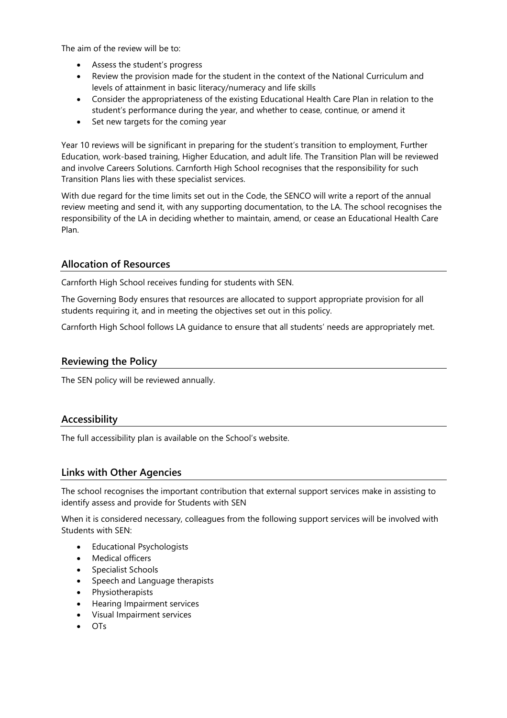The aim of the review will be to:

- Assess the student's progress
- Review the provision made for the student in the context of the National Curriculum and levels of attainment in basic literacy/numeracy and life skills
- Consider the appropriateness of the existing Educational Health Care Plan in relation to the student's performance during the year, and whether to cease, continue, or amend it
- Set new targets for the coming year

Year 10 reviews will be significant in preparing for the student's transition to employment, Further Education, work-based training, Higher Education, and adult life. The Transition Plan will be reviewed and involve Careers Solutions. Carnforth High School recognises that the responsibility for such Transition Plans lies with these specialist services.

With due regard for the time limits set out in the Code, the SENCO will write a report of the annual review meeting and send it, with any supporting documentation, to the LA. The school recognises the responsibility of the LA in deciding whether to maintain, amend, or cease an Educational Health Care Plan.

# **Allocation of Resources**

Carnforth High School receives funding for students with SEN.

The Governing Body ensures that resources are allocated to support appropriate provision for all students requiring it, and in meeting the objectives set out in this policy.

Carnforth High School follows LA guidance to ensure that all students' needs are appropriately met.

# **Reviewing the Policy**

The SEN policy will be reviewed annually.

#### **Accessibility**

The full accessibility plan is available on the School's website.

# **Links with Other Agencies**

The school recognises the important contribution that external support services make in assisting to identify assess and provide for Students with SEN

When it is considered necessary, colleagues from the following support services will be involved with Students with SEN:

- Educational Psychologists
- Medical officers
- Specialist Schools
- Speech and Language therapists
- Physiotherapists
- Hearing Impairment services
- Visual Impairment services
- OTs